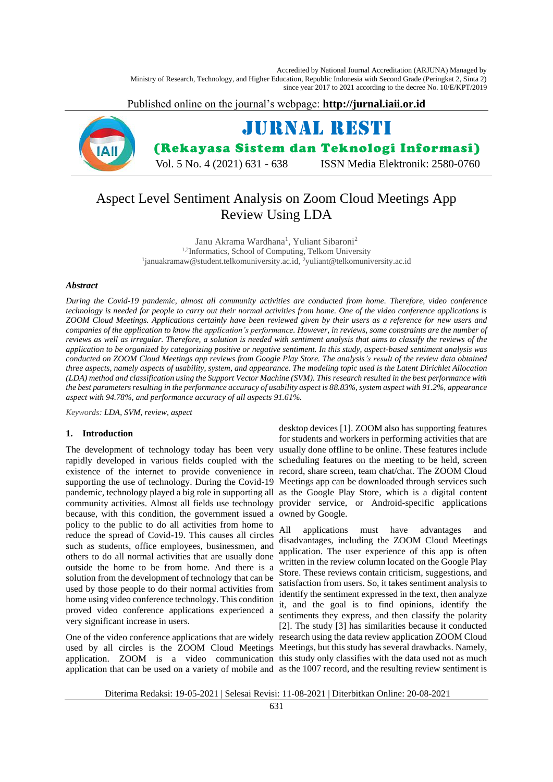Accredited by National Journal Accreditation (ARJUNA) Managed by Ministry of Research, Technology, and Higher Education, Republic Indonesia with Second Grade (Peringkat 2, Sinta 2) since year 2017 to 2021 according to the decree No. 10/E/KPT/2019

Published online on the journal's webpage: **http://jurnal.iaii.or.id**



# Aspect Level Sentiment Analysis on Zoom Cloud Meetings App Review Using LDA

Janu Akrama Wardhana<sup>1</sup>, Yuliant Sibaroni<sup>2</sup> 1,2Informatics, School of Computing, Telkom University <sup>1</sup>januakramaw@student.telkomuniversity.ac.id, <sup>2</sup>yuliant@telkomuniversity.ac.id

## *Abstract*

*During the Covid-19 pandemic, almost all community activities are conducted from home. Therefore, video conference technology is needed for people to carry out their normal activities from home. One of the video conference applications is ZOOM Cloud Meetings. Applications certainly have been reviewed given by their users as a reference for new users and companies of the application to know the application's performance. However, in reviews, some constraints are the number of reviews as well as irregular. Therefore, a solution is needed with sentiment analysis that aims to classify the reviews of the application to be organized by categorizing positive or negative sentiment. In this study, aspect-based sentiment analysis was conducted on ZOOM Cloud Meetings app reviews from Google Play Store. The analysis's result of the review data obtained three aspects, namely aspects of usability, system, and appearance. The modeling topic used is the Latent Dirichlet Allocation (LDA) method and classification using the Support Vector Machine (SVM). This research resulted in the best performance with the best parameters resulting in the performance accuracy of usability aspect is 88.83%, system aspect with 91.2%, appearance aspect with 94.78%, and performance accuracy of all aspects 91.61%.*

*Keywords: LDA, SVM, review, aspect*

# **1. Introduction**

rapidly developed in various fields coupled with the scheduling features on the meeting to be held, screen existence of the internet to provide convenience in record, share screen, team chat/chat. The ZOOM Cloud supporting the use of technology. During the Covid-19 Meetings app can be downloaded through services such because, with this condition, the government issued a owned by Google. policy to the public to do all activities from home to reduce the spread of Covid-19. This causes all circles such as students, office employees, businessmen, and others to do all normal activities that are usually done outside the home to be from home. And there is a solution from the development of technology that can be used by those people to do their normal activities from home using video conference technology. This condition proved video conference applications experienced a very significant increase in users.

One of the video conference applications that are widely research using the data review application ZOOM Cloud used by all circles is the ZOOM Cloud Meetings Meetings, but this study has several drawbacks. Namely, application. ZOOM is a video communication this study only classifies with the data used not as much application that can be used on a variety of mobile and as the 1007 record, and the resulting review sentiment is

The development of technology today has been very usually done offline to be online. These features include pandemic, technology played a big role in supporting all as the Google Play Store, which is a digital content community activities. Almost all fields use technology provider service, or Android-specific applications desktop devices [1]. ZOOM also has supporting features for students and workers in performing activities that are

> All applications must have advantages and disadvantages, including the ZOOM Cloud Meetings application. The user experience of this app is often written in the review column located on the Google Play Store. These reviews contain criticism, suggestions, and satisfaction from users. So, it takes sentiment analysis to identify the sentiment expressed in the text, then analyze it, and the goal is to find opinions, identify the sentiments they express, and then classify the polarity [2]. The study [3] has similarities because it conducted

Diterima Redaksi: 19-05-2021 | Selesai Revisi: 11-08-2021 | Diterbitkan Online: 20-08-2021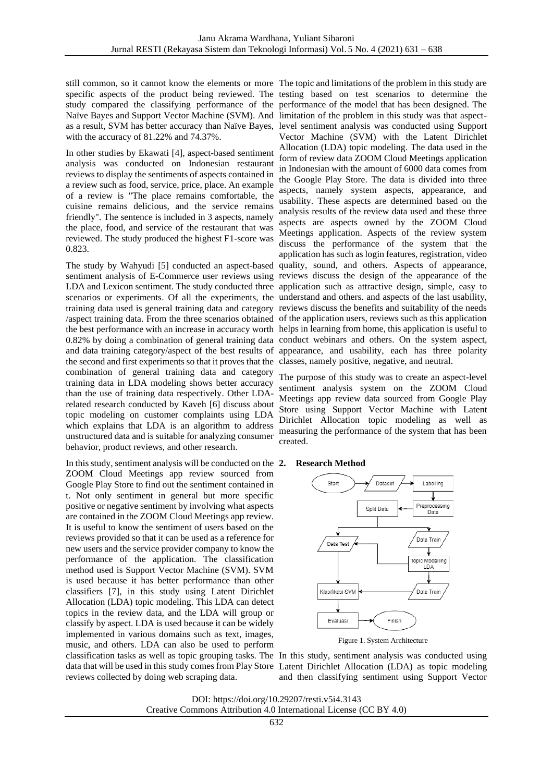still common, so it cannot know the elements or more The topic and limitations of the problem in this study are specific aspects of the product being reviewed. The testing based on test scenarios to determine the study compared the classifying performance of the performance of the model that has been designed. The Naïve Bayes and Support Vector Machine (SVM). And limitation of the problem in this study was that aspectas a result, SVM has better accuracy than Naïve Bayes, level sentiment analysis was conducted using Support with the accuracy of 81.22% and 74.37%.

In other studies by Ekawati [4], aspect-based sentiment analysis was conducted on Indonesian restaurant reviews to display the sentiments of aspects contained in a review such as food, service, price, place. An example of a review is "The place remains comfortable, the cuisine remains delicious, and the service remains friendly". The sentence is included in 3 aspects, namely the place, food, and service of the restaurant that was reviewed. The study produced the highest F1-score was 0.823.

sentiment analysis of E-Commerce user reviews using reviews discuss the design of the appearance of the LDA and Lexicon sentiment. The study conducted three application such as attractive design, simple, easy to scenarios or experiments. Of all the experiments, the understand and others. and aspects of the last usability, training data used is general training data and category reviews discuss the benefits and suitability of the needs /aspect training data. From the three scenarios obtained of the application users, reviews such as this application the best performance with an increase in accuracy worth helps in learning from home, this application is useful to 0.82% by doing a combination of general training data conduct webinars and others. On the system aspect, and data training category/aspect of the best results of the second and first experiments so that it proves that the classes, namely positive, negative, and neutral. combination of general training data and category training data in LDA modeling shows better accuracy than the use of training data respectively. Other LDArelated research conducted by Kaveh [6] discuss about topic modeling on customer complaints using LDA which explains that LDA is an algorithm to address unstructured data and is suitable for analyzing consumer behavior, product reviews, and other research.

In this study, sentiment analysis will be conducted on the 2. ZOOM Cloud Meetings app review sourced from Google Play Store to find out the sentiment contained in t. Not only sentiment in general but more specific positive or negative sentiment by involving what aspects are contained in the ZOOM Cloud Meetings app review. It is useful to know the sentiment of users based on the reviews provided so that it can be used as a reference for new users and the service provider company to know the performance of the application. The classification method used is Support Vector Machine (SVM). SVM is used because it has better performance than other classifiers [7], in this study using Latent Dirichlet Allocation (LDA) topic modeling. This LDA can detect topics in the review data, and the LDA will group or classify by aspect. LDA is used because it can be widely implemented in various domains such as text, images, music, and others. LDA can also be used to perform classification tasks as well as topic grouping tasks. The In this study, sentiment analysis was conducted using data that will be used in this study comes from Play Store Latent Dirichlet Allocation (LDA) as topic modeling reviews collected by doing web scraping data.

The study by Wahyudi [5] conducted an aspect-based quality, sound, and others. Aspects of appearance, Vector Machine (SVM) with the Latent Dirichlet Allocation (LDA) topic modeling. The data used in the form of review data ZOOM Cloud Meetings application in Indonesian with the amount of 6000 data comes from the Google Play Store. The data is divided into three aspects, namely system aspects, appearance, and usability. These aspects are determined based on the analysis results of the review data used and these three aspects are aspects owned by the ZOOM Cloud Meetings application. Aspects of the review system discuss the performance of the system that the application has such as login features, registration, video appearance, and usability, each has three polarity

> The purpose of this study was to create an aspect-level sentiment analysis system on the ZOOM Cloud Meetings app review data sourced from Google Play Store using Support Vector Machine with Latent Dirichlet Allocation topic modeling as well as measuring the performance of the system that has been created.

#### **2. Research Method**



Figure 1. System Architecture

and then classifying sentiment using Support Vector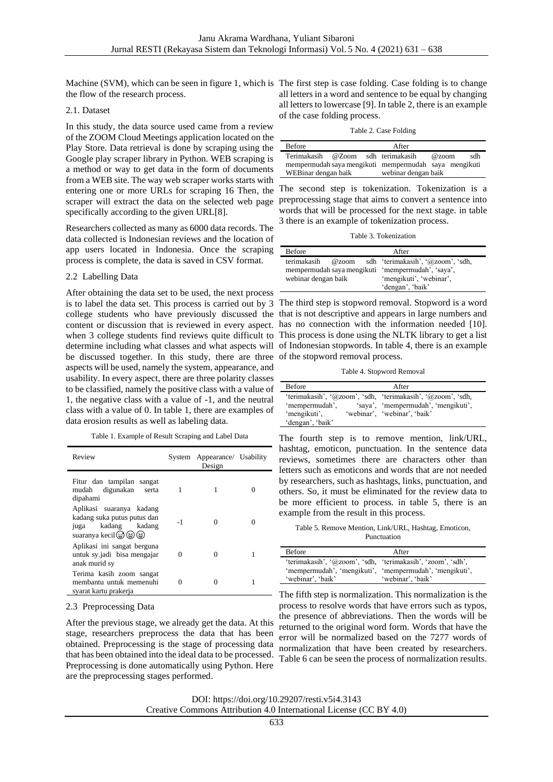Machine (SVM), which can be seen in figure 1, which is The first step is case folding. Case folding is to change the flow of the research process.

## 2.1. Dataset

In this study, the data source used came from a review of the ZOOM Cloud Meetings application located on the Play Store. Data retrieval is done by scraping using the Google play scraper library in Python. WEB scraping is a method or way to get data in the form of documents from a WEB site. The way web scraper works starts with entering one or more URLs for scraping 16 Then, the The second step is tokenization. Tokenization is a specifically according to the given URL[8].

Researchers collected as many as 6000 data records. The data collected is Indonesian reviews and the location of app users located in Indonesia. Once the scraping process is complete, the data is saved in CSV format.

# 2.2 Labelling Data

After obtaining the data set to be used, the next process college students who have previously discussed the that is not descriptive and appears in large numbers and content or discussion that is reviewed in every aspect. has no connection with the information needed [10]. be discussed together. In this study, there are three of the stopword removal process. aspects will be used, namely the system, appearance, and usability. In every aspect, there are three polarity classes to be classified, namely the positive class with a value of 1, the negative class with a value of -1, and the neutral class with a value of 0. In table 1, there are examples of data erosion results as well as labeling data.

Table 1. Example of Result Scraping and Label Data

| Review                                                                                                  |          | System Appearance/ Usability<br>Design |  |
|---------------------------------------------------------------------------------------------------------|----------|----------------------------------------|--|
| Fitur dan tampilan sangat<br>mudah digunakan<br>serta<br>dipahami                                       | 1        |                                        |  |
| Aplikasi suaranya kadang<br>kadang suka putus putus dan<br>juga kadang kadang<br>suaranya kecil (@) (@) | $-1$     |                                        |  |
| Aplikasi ini sangat berguna<br>untuk sy.jadi bisa mengajar<br>anak murid sy                             | $\Omega$ |                                        |  |
| Terima kasih zoom sangat<br>membantu untuk memenuhi<br>syarat kartu prakerja                            | Ω        | 0                                      |  |

## 2.3 Preprocessing Data

After the previous stage, we already get the data. At this stage, researchers preprocess the data that has been obtained. Preprocessing is the stage of processing data that has been obtained into the ideal data to be processed. Preprocessing is done automatically using Python. Here are the preprocessing stages performed.

all letters in a word and sentence to be equal by changing all letters to lowercase [9]. In table 2, there is an example of the case folding process.

Table 2. Case Folding

| <b>Before</b>                     |  | After                                                 |          |     |
|-----------------------------------|--|-------------------------------------------------------|----------|-----|
| Terimakasih @Zoom sdh terimakasih |  |                                                       | $@$ zoom | sdh |
|                                   |  | mempermudah saya mengikuti mempermudah saya mengikuti |          |     |
| WEBinar dengan baik               |  | webinar dengan baik                                   |          |     |

scraper will extract the data on the selected web page preprocessing stage that aims to convert a sentence into words that will be processed for the next stage. in table 3 there is an example of tokenization process.

Table 3. Tokenization

| <b>Before</b>       |       | After                                             |
|---------------------|-------|---------------------------------------------------|
| terimakasih         | @zoom | sdh 'terimakasih', '@zoom', 'sdh,                 |
|                     |       | mempermudah saya mengikuti 'mempermudah', 'saya', |
| webinar dengan baik |       | 'mengikuti', 'webinar',                           |
|                     |       | 'dengan', 'baik'                                  |

is to label the data set. This process is carried out by 3 The third step is stopword removal. Stopword is a word when 3 college students find reviews quite difficult to This process is done using the NLTK library to get a list determine including what classes and what aspects will of Indonesian stopwords. In table 4, there is an example

Table 4. Stopword Removal

| 'terimakasih', '@zoom', 'sdh, 'terimakasih', '@zoom', 'sdh,<br>'saya', 'mempermudah', 'mengikuti',<br>'mempermudah', | <b>Before</b> | After |
|----------------------------------------------------------------------------------------------------------------------|---------------|-------|
| 'webinar', 'webinar', 'baik'<br>'mengikuti'.<br>'dengan', 'baik'                                                     |               |       |

The fourth step is to remove mention, link/URL, hashtag, emoticon, punctuation. In the sentence data reviews, sometimes there are characters other than letters such as emoticons and words that are not needed by researchers, such as hashtags, links, punctuation, and others. So, it must be eliminated for the review data to be more efficient to process. in table 5, there is an example from the result in this process.

Table 5. Remove Mention, Link/URL, Hashtag, Emoticon, Punctuation

| <b>Before</b>                                               | After             |
|-------------------------------------------------------------|-------------------|
| 'terimakasih', '@zoom', 'sdh, 'terimakasih', 'zoom', 'sdh', |                   |
| 'mempermudah', 'mengikuti', 'mempermudah', 'mengikuti',     |                   |
| 'webinar', 'baik'                                           | 'webinar'. 'baik' |

The fifth step is normalization. This normalization is the process to resolve words that have errors such as typos, the presence of abbreviations. Then the words will be returned to the original word form. Words that have the error will be normalized based on the 7277 words of normalization that have been created by researchers. Table 6 can be seen the process of normalization results.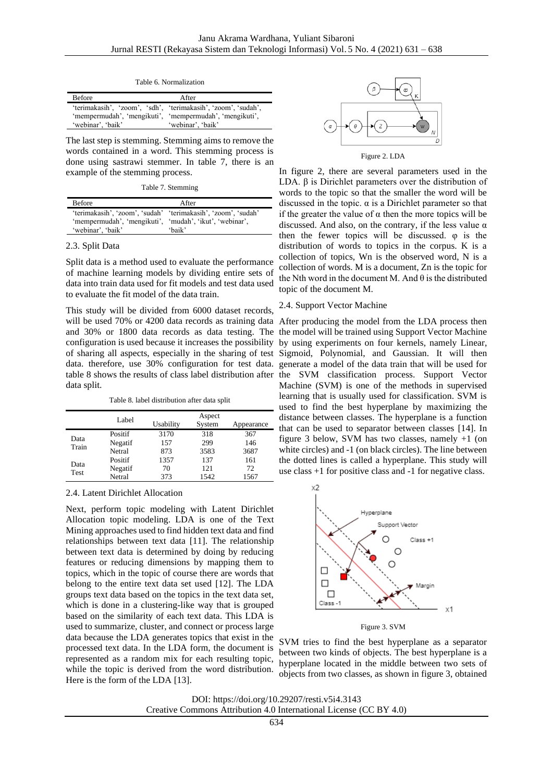Table 6. Normalization

| <b>Before</b>     | After                                                                                                                                         |
|-------------------|-----------------------------------------------------------------------------------------------------------------------------------------------|
| 'webinar', 'baik' | 'terimakasih', 'zoom', 'sdh', 'terimakasih', 'zoom', 'sudah',<br>'mempermudah', 'mengikuti', 'mempermudah', 'mengikuti',<br>'webinar', 'baik' |

The last step is stemming. Stemming aims to remove the words contained in a word. This stemming process is done using sastrawi stemmer. In table 7, there is an example of the stemming process.

Table 7. Stemming

| <b>Before</b>                                                 | After  |
|---------------------------------------------------------------|--------|
| 'terimakasih', 'zoom', 'sudah' 'terimakasih', 'zoom', 'sudah' |        |
| 'mempermudah', 'mengikuti', 'mudah', 'ikut', 'webinar',       |        |
| 'webinar', 'baik'                                             | 'haik' |

#### 2.3. Split Data

Split data is a method used to evaluate the performance of machine learning models by dividing entire sets of data into train data used for fit models and test data used to evaluate the fit model of the data train.

This study will be divided from 6000 dataset records, will be used 70% or 4200 data records as training data After producing the model from the LDA process then and 30% or 1800 data records as data testing. The the model will be trained using Support Vector Machine configuration is used because it increases the possibility by using experiments on four kernels, namely Linear, of sharing all aspects, especially in the sharing of test Sigmoid, Polynomial, and Gaussian. It will then data. therefore, use 30% configuration for test data. generate a model of the data train that will be used for table 8 shows the results of class label distribution after the SVM classification process. Support Vector data split.

Table 8. label distribution after data split

|               | Label   | Usability | Aspect<br>System | Appearance |
|---------------|---------|-----------|------------------|------------|
|               | Positif | 3170      | 318              | 367        |
| Data<br>Train | Negatif | 157       | 299              | 146        |
|               | Netral  | 873       | 3583             | 3687       |
|               | Positif | 1357      | 137              | 161        |
| Data<br>Test  | Negatif | 70        | 121              | 72         |
|               | Netral  | 373       | 1542             | 1567       |

# 2.4. Latent Dirichlet Allocation

Next, perform topic modeling with Latent Dirichlet Allocation topic modeling. LDA is one of the Text Mining approaches used to find hidden text data and find relationships between text data [11]. The relationship between text data is determined by doing by reducing features or reducing dimensions by mapping them to topics, which in the topic of course there are words that belong to the entire text data set used [12]. The LDA groups text data based on the topics in the text data set, which is done in a clustering-like way that is grouped based on the similarity of each text data. This LDA is used to summarize, cluster, and connect or process large data because the LDA generates topics that exist in the processed text data. In the LDA form, the document is represented as a random mix for each resulting topic, while the topic is derived from the word distribution. Here is the form of the LDA [13].



In figure 2, there are several parameters used in the LDA.  $β$  is Dirichlet parameters over the distribution of words to the topic so that the smaller the word will be discussed in the topic.  $\alpha$  is a Dirichlet parameter so that if the greater the value of  $\alpha$  then the more topics will be discussed. And also, on the contrary, if the less value  $\alpha$ then the fewer topics will be discussed. φ is the distribution of words to topics in the corpus. K is a collection of topics, Wn is the observed word, N is a collection of words. M is a document, Zn is the topic for the Nth word in the document M. And  $\theta$  is the distributed topic of the document M.

#### 2.4. Support Vector Machine

Machine (SVM) is one of the methods in supervised learning that is usually used for classification. SVM is used to find the best hyperplane by maximizing the distance between classes. The hyperplane is a function that can be used to separator between classes [14]. In figure 3 below, SVM has two classes, namely +1 (on white circles) and -1 (on black circles). The line between the dotted lines is called a hyperplane. This study will use class +1 for positive class and -1 for negative class.



Figure 3. SVM

SVM tries to find the best hyperplane as a separator between two kinds of objects. The best hyperplane is a hyperplane located in the middle between two sets of objects from two classes, as shown in figure 3, obtained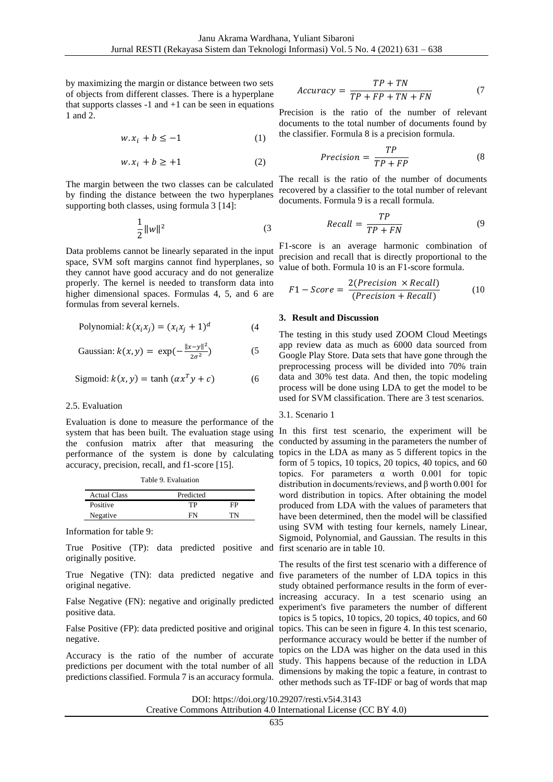by maximizing the margin or distance between two sets of objects from different classes. There is a hyperplane that supports classes  $-1$  and  $+1$  can be seen in equations 1 and 2.

$$
w. x_i + b \le -1 \tag{1}
$$

$$
w. x_i + b \ge +1 \tag{2}
$$

The margin between the two classes can be calculated by finding the distance between the two hyperplanes supporting both classes, using formula 3 [14]:

$$
\frac{1}{2}||w||^2
$$
 (3)

Data problems cannot be linearly separated in the input space, SVM soft margins cannot find hyperplanes, so they cannot have good accuracy and do not generalize properly. The kernel is needed to transform data into higher dimensional spaces. Formulas 4, 5, and 6 are formulas from several kernels.

Polynomial: 
$$
k(x_i x_j) = (x_i x_j + 1)^d
$$
 (4)

Gaussian: 
$$
k(x, y) = \exp(-\frac{\|x - y\|^2}{2\sigma^2})
$$
 (5)

$$
Sigmoid: k(x, y) = \tanh(\alpha x^T y + c)
$$
 (6)

## 2.5. Evaluation

Evaluation is done to measure the performance of the system that has been built. The evaluation stage using the confusion matrix after that measuring the performance of the system is done by calculating accuracy, precision, recall, and f1-score [15].

|  |  | Table 9. Evaluation |
|--|--|---------------------|
|  |  |                     |

| <b>Actual Class</b> | Predicted |    |
|---------------------|-----------|----|
| Positive            | TР        | FP |
| Negative            | FМ        | TN |

Information for table 9:

True Positive (TP): data predicted positive and first scenario are in table 10. originally positive.

True Negative (TN): data predicted negative and original negative.

False Negative (FN): negative and originally predicted positive data.

False Positive (FP): data predicted positive and original negative.

Accuracy is the ratio of the number of accurate predictions per document with the total number of all predictions classified. Formula 7 is an accuracy formula.

$$
Accuracy = \frac{TP + TN}{TP + FP + TN + FN}
$$
 (7)

Precision is the ratio of the number of relevant documents to the total number of documents found by the classifier. Formula 8 is a precision formula.

$$
Precision = \frac{TP}{TP + FP}
$$
 (8)

The recall is the ratio of the number of documents recovered by a classifier to the total number of relevant documents. Formula 9 is a recall formula.

$$
Recall = \frac{TP}{TP + FN} \tag{9}
$$

F1-score is an average harmonic combination of precision and recall that is directly proportional to the value of both. Formula 10 is an F1-score formula.

$$
F1 - Score = \frac{2(Precision \times Recall)}{(Precision + Recall)}
$$
 (10)

# **3. Result and Discussion**

The testing in this study used ZOOM Cloud Meetings app review data as much as 6000 data sourced from Google Play Store. Data sets that have gone through the preprocessing process will be divided into 70% train data and 30% test data. And then, the topic modeling process will be done using LDA to get the model to be used for SVM classification. There are 3 test scenarios.

#### 3.1. Scenario 1

In this first test scenario, the experiment will be conducted by assuming in the parameters the number of topics in the LDA as many as 5 different topics in the form of 5 topics, 10 topics, 20 topics, 40 topics, and 60 topics. For parameters  $\alpha$  worth 0.001 for topic distribution in documents/reviews, and β worth 0.001 for word distribution in topics. After obtaining the model produced from LDA with the values of parameters that have been determined, then the model will be classified using SVM with testing four kernels, namely Linear, Sigmoid, Polynomial, and Gaussian. The results in this

The results of the first test scenario with a difference of five parameters of the number of LDA topics in this study obtained performance results in the form of everincreasing accuracy. In a test scenario using an experiment's five parameters the number of different topics is 5 topics, 10 topics, 20 topics, 40 topics, and 60 topics. This can be seen in figure 4. In this test scenario, performance accuracy would be better if the number of topics on the LDA was higher on the data used in this study. This happens because of the reduction in LDA dimensions by making the topic a feature, in contrast to other methods such as TF-IDF or bag of words that map

DOI: https://doi.org/10.29207/resti.v5i4.3143

Creative Commons Attribution 4.0 International License (CC BY 4.0)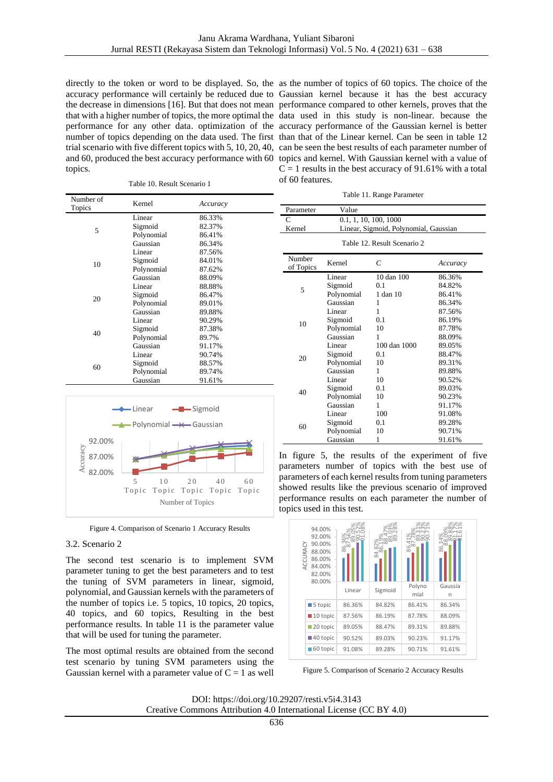directly to the token or word to be displayed. So, the accuracy performance will certainly be reduced due to the decrease in dimensions [16]. But that does not mean that with a higher number of topics, the more optimal the performance for any other data. optimization of the number of topics depending on the data used. The first trial scenario with five different topics with 5, 10, 20, 40, and 60, produced the best accuracy performance with 60 topics.

Table 10. Result Scenario 1

| as the number of topics of 60 topics. The choice of the     |
|-------------------------------------------------------------|
| Gaussian kernel because it has the best accuracy            |
| performance compared to other kernels, proves that the      |
| data used in this study is non-linear. because the          |
| accuracy performance of the Gaussian kernel is better       |
| than that of the Linear kernel. Can be seen in table 12     |
| can be seen the best results of each parameter number of    |
| topics and kernel. With Gaussian kernel with a value of     |
| $C = 1$ results in the best accuracy of 91.61% with a total |
| of 60 features.                                             |
|                                                             |

Table 11. Range Parameter

| Number of<br>Topics | Kernel     | Accuracy |  |
|---------------------|------------|----------|--|
|                     | Linear     | 86.33%   |  |
|                     | Sigmoid    | 82.37%   |  |
| 5                   | Polynomial | 86.41%   |  |
|                     | Gaussian   | 86.34%   |  |
|                     | Linear     | 87.56%   |  |
| 10                  | Sigmoid    | 84.01%   |  |
|                     | Polynomial | 87.62%   |  |
|                     | Gaussian   | 88.09%   |  |
|                     | Linear     | 88.88%   |  |
| 20                  | Sigmoid    | 86.47%   |  |
|                     | Polynomial | 89.01%   |  |
|                     | Gaussian   | 89.88%   |  |
|                     | Linear     | 90.29%   |  |
| 40                  | Sigmoid    | 87.38%   |  |
|                     | Polynomial | 89.7%    |  |
|                     | Gaussian   | 91.17%   |  |
|                     | Linear     | 90.74%   |  |
|                     | Sigmoid    | 88.57%   |  |
| 60                  | Polynomial | 89.74%   |  |
|                     | Gaussian   | 91.61%   |  |



Figure 4. Comparison of Scenario 1 Accuracy Results

# 3.2. Scenario 2

The second test scenario is to implement SVM parameter tuning to get the best parameters and to test the tuning of SVM parameters in linear, sigmoid, polynomial, and Gaussian kernels with the parameters of the number of topics i.e. 5 topics, 10 topics, 20 topics, 40 topics, and 60 topics, Resulting in the best performance results. In table 11 is the parameter value that will be used for tuning the parameter.

The most optimal results are obtained from the second test scenario by tuning SVM parameters using the Gaussian kernel with a parameter value of  $C = 1$  as well

| Parameter                   | Value                                 |                |          |
|-----------------------------|---------------------------------------|----------------|----------|
| C                           | 0.1, 1, 10, 100, 1000                 |                |          |
| Kernel                      | Linear, Sigmoid, Polynomial, Gaussian |                |          |
| Table 12. Result Scenario 2 |                                       |                |          |
| Number<br>of Topics         | Kernel                                | $\overline{C}$ | Accuracy |
| 5                           | Linear                                | 10 dan 100     | 86.36%   |
|                             | Sigmoid                               | 0.1            | 84.82%   |
|                             | Polynomial                            | 1 dan 10       | 86.41%   |
|                             | Gaussian                              | 1              | 86.34%   |
| 10                          | Linear                                | 1              | 87.56%   |
|                             | Sigmoid                               | 0.1            | 86.19%   |
|                             | Polynomial                            | 10             | 87.78%   |
|                             | Gaussian                              | 1              | 88.09%   |
| 20                          | Linear                                | 100 dan 1000   | 89.05%   |
|                             | Sigmoid                               | 0.1            | 88.47%   |
|                             | Polynomial                            | 10             | 89.31%   |
|                             | Gaussian                              | 1              | 89.88%   |
| 40                          | Linear                                | 10             | 90.52%   |
|                             | Sigmoid                               | 0.1            | 89.03%   |
|                             | Polynomial                            | 10             | 90.23%   |
|                             | Gaussian                              | 1              | 91.17%   |
| 60                          | Linear                                | 100            | 91.08%   |
|                             | Sigmoid                               | 0.1            | 89.28%   |
|                             | Polynomial                            | 10             | 90.71%   |
|                             | Gaussian                              | 1              | 91.61%   |

In figure 5, the results of the experiment of five parameters number of topics with the best use of parameters of each kernel results from tuning parameters showed results like the previous scenario of improved performance results on each parameter the number of topics used in this test.



Figure 5. Comparison of Scenario 2 Accuracy Results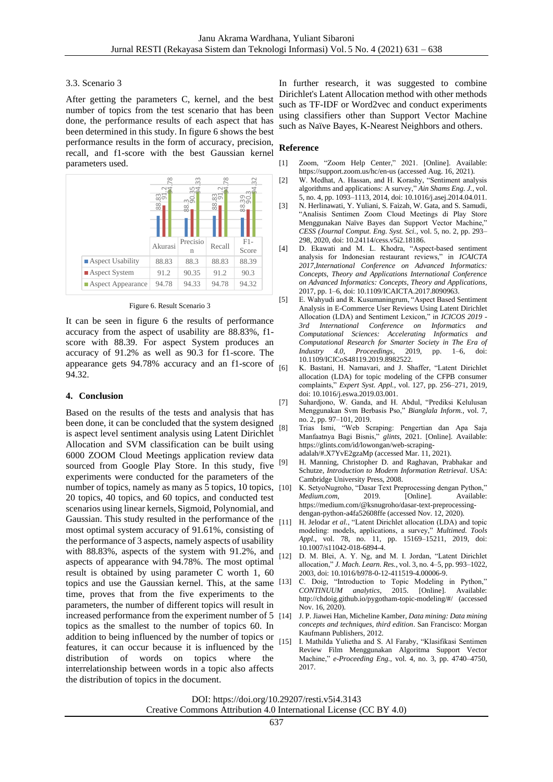# 3.3. Scenario 3

After getting the parameters C, kernel, and the best number of topics from the test scenario that has been done, the performance results of each aspect that has been determined in this study. In figure 6 shows the best performance results in the form of accuracy, precision, recall, and f1-score with the best Gaussian kernel parameters used.



Figure 6. Result Scenario 3

It can be seen in figure 6 the results of performance accuracy from the aspect of usability are 88.83%, f1 score with 88.39. For aspect System produces an accuracy of 91.2% as well as 90.3 for f1-score. The appearance gets 94.78% accuracy and an f1-score of  $\frac{1}{161}$ 94.32.

# **4. Conclusion**

Based on the results of the tests and analysis that has been done, it can be concluded that the system designed is aspect level sentiment analysis using Latent Dirichlet Allocation and SVM classification can be built using 6000 ZOOM Cloud Meetings application review data sourced from Google Play Store. In this study, five experiments were conducted for the parameters of the number of topics, namely as many as 5 topics, 10 topics, [10] 20 topics, 40 topics, and 60 topics, and conducted test scenarios using linear kernels, Sigmoid, Polynomial, and Gaussian. This study resulted in the performance of the  $_{[11]}$ most optimal system accuracy of 91.61%, consisting of the performance of 3 aspects, namely aspects of usability with 88.83%, aspects of the system with 91.2%, and aspects of appearance with 94.78%. The most optimal result is obtained by using parameter C worth 1, 60 topics and use the Gaussian kernel. This, at the same time, proves that from the five experiments to the parameters, the number of different topics will result in increased performance from the experiment number of 5 [14] topics as the smallest to the number of topics 60. In addition to being influenced by the number of topics or features, it can occur because it is influenced by the distribution of words on topics where the interrelationship between words in a topic also affects the distribution of topics in the document.

In further research, it was suggested to combine Dirichlet's Latent Allocation method with other methods such as TF-IDF or Word2vec and conduct experiments using classifiers other than Support Vector Machine such as Naïve Bayes, K-Nearest Neighbors and others.

# **Reference**

- [1] Zoom, "Zoom Help Center," 2021. [Online]. Available: https://support.zoom.us/hc/en-us (accessed Aug. 16, 2021).
- [2] W. Medhat, A. Hassan, and H. Korashy, "Sentiment analysis algorithms and applications: A survey," *Ain Shams Eng. J.*, vol. 5, no. 4, pp. 1093–1113, 2014, doi: 10.1016/j.asej.2014.04.011.
- [3] N. Herlinawati, Y. Yuliani, S. Faizah, W. Gata, and S. Samudi, "Analisis Sentimen Zoom Cloud Meetings di Play Store Menggunakan Naïve Bayes dan Support Vector Machine," *CESS (Journal Comput. Eng. Syst. Sci.*, vol. 5, no. 2, pp. 293– 298, 2020, doi: 10.24114/cess.v5i2.18186.
- [4] D. Ekawati and M. L. Khodra, "Aspect-based sentiment analysis for Indonesian restaurant reviews," in *ICAICTA 2017,International Conference on Advanced Informatics: Concepts, Theory and Applications International Conference on Advanced Informatics: Concepts, Theory and Applications*, 2017, pp. 1–6, doi: 10.1109/ICAICTA.2017.8090963.
- [5] E. Wahyudi and R. Kusumaningrum, "Aspect Based Sentiment Analysis in E-Commerce User Reviews Using Latent Dirichlet Allocation (LDA) and Sentiment Lexicon," in *ICICOS 2019 - 3rd International Conference on Informatics and Computational Sciences: Accelerating Informatics and Computational Research for Smarter Society in The Era of Industry 4.0, Proceedings*, 2019, pp. 1–6, doi: 10.1109/ICICoS48119.2019.8982522.
	- K. Bastani, H. Namavari, and J. Shaffer, "Latent Dirichlet allocation (LDA) for topic modeling of the CFPB consumer complaints," *Expert Syst. Appl.*, vol. 127, pp. 256–271, 2019, doi: 10.1016/j.eswa.2019.03.001.
- [7] Suhardjono, W. Ganda, and H. Abdul, "Prediksi Kelulusan Menggunakan Svm Berbasis Pso," *Bianglala Inform.*, vol. 7, no. 2, pp. 97–101, 2019.
- [8] Trias Ismi, "Web Scraping: Pengertian dan Apa Saja Manfaatnya Bagi Bisnis," *glints*, 2021. [Online]. Available: https://glints.com/id/lowongan/web-scrapingadalah/#.X7YvE2gzaMp (accessed Mar. 11, 2021).
- H. Manning, Christopher D. and Raghavan, Prabhakar and Schutze, *Introduction to Modern Information Retrieval*. USA: Cambridge University Press, 2008.
- K. SetyoNugroho, "Dasar Text Preprocessing dengan Python," *Medium.com*, 2019. [Online]. Available: https://medium.com/@ksnugroho/dasar-text-preprocessingdengan-python-a4fa52608ffe (accessed Nov. 12, 2020).
- H. Jelodar et al., "Latent Dirichlet allocation (LDA) and topic modeling: models, applications, a survey," *Multimed. Tools Appl.*, vol. 78, no. 11, pp. 15169–15211, 2019, doi: 10.1007/s11042-018-6894-4.
- [12] D. M. Blei, A. Y. Ng, and M. I. Jordan, "Latent Dirichlet allocation," *J. Mach. Learn. Res.*, vol. 3, no. 4–5, pp. 993–1022, 2003, doi: 10.1016/b978-0-12-411519-4.00006-9.
- C. Doig, "Introduction to Topic Modeling in Python,"<br>CONTINUUM analytics. 2015. [Online]. Available: *continues*, 2015. [Online]. Available: http://chdoig.github.io/pygotham-topic-modeling/#/ (accessed Nov. 16, 2020).
- [14] J. P. Jiawei Han, Micheline Kamber, *Data mining: Data mining concepts and techniques, third edition*. San Francisco: Morgan Kaufmann Publishers, 2012.
- [15] I. Mathilda Yulietha and S. Al Faraby, "Klasifikasi Sentimen Review Film Menggunakan Algoritma Support Vector Machine," *e-Proceeding Eng.*, vol. 4, no. 3, pp. 4740–4750, 2017.